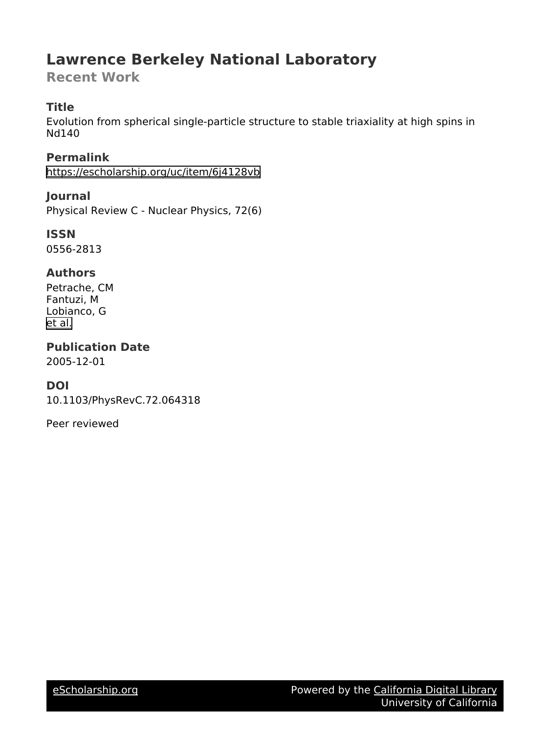# **Lawrence Berkeley National Laboratory**

**Recent Work**

# **Title**

Evolution from spherical single-particle structure to stable triaxiality at high spins in Nd140

**Permalink** <https://escholarship.org/uc/item/6j4128vb>

**Journal** Physical Review C - Nuclear Physics, 72(6)

**ISSN** 0556-2813

# **Authors**

Petrache, CM Fantuzi, M Lobianco, G [et al.](https://escholarship.org/uc/item/6j4128vb#author)

**Publication Date** 2005-12-01

# **DOI**

10.1103/PhysRevC.72.064318

Peer reviewed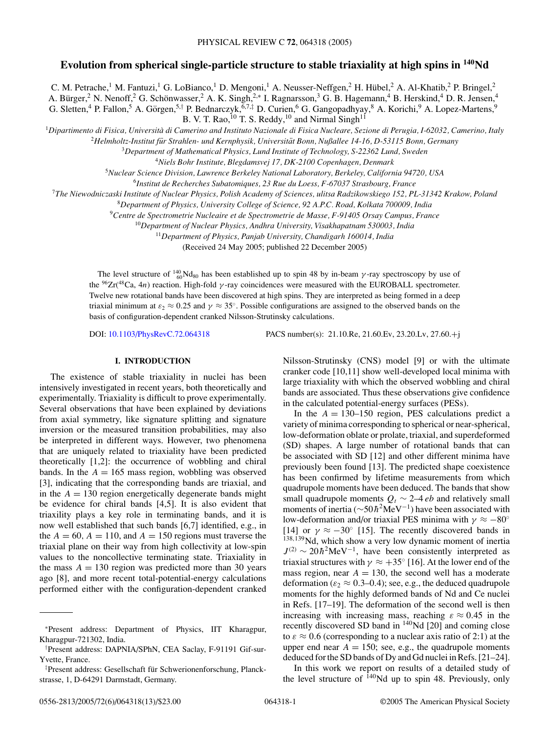# **Evolution from spherical single-particle structure to stable triaxiality at high spins in 140Nd**

C. M. Petrache,<sup>1</sup> M. Fantuzi,<sup>1</sup> G. LoBianco,<sup>1</sup> D. Mengoni,<sup>1</sup> A. Neusser-Neffgen,<sup>2</sup> H. Hübel,<sup>2</sup> A. Al-Khatib,<sup>2</sup> P. Bringel,<sup>2</sup> A. Bürger,<sup>2</sup> N. Nenoff,<sup>2</sup> G. Schönwasser,<sup>2</sup> A. K. Singh,<sup>2,\*</sup> I. Ragnarsson,<sup>3</sup> G. B. Hagemann,<sup>4</sup> B. Herskind,<sup>4</sup> D. R. Jensen,<sup>4</sup> G. Sletten,<sup>4</sup> P. Fallon,<sup>5</sup> A. Görgen,<sup>5,†</sup> P. Bednarczyk,<sup>6,7,‡</sup> D. Curien,<sup>6</sup> G. Gangopadhyay,<sup>8</sup> A. Korichi,<sup>9</sup> A. Lopez-Martens,<sup>9</sup>

B. V. T. Rao,  $^{10}$  T. S. Reddy,  $^{10}$  and Nirmal Singh<sup>11</sup>

<sup>1</sup>*Dipartimento di Fisica, Universita di Camerino and Instituto Nazionale di Fisica Nucleare, Sezione di Perugia, I-62032, Camerino, Italy `*

<sup>2</sup>Helmholtz-Institut für Strahlen- und Kernphysik, Universität Bonn, Nußallee 14-16, D-53115 Bonn, Germany

<sup>3</sup>*Department of Mathematical Physics, Lund Institute of Technology, S-22362 Lund, Sweden*

<sup>4</sup>*Niels Bohr Institute, Blegdamsvej 17, DK-2100 Copenhagen, Denmark*

<sup>5</sup>*Nuclear Science Division, Lawrence Berkeley National Laboratory, Berkeley, California 94720, USA*

<sup>6</sup>*Institut de Recherches Subatomiques, 23 Rue du Loess, F-67037 Strasbourg, France*

<sup>7</sup>*The Niewodniczaski Institute of Nuclear Physics, Polish Academy of Sciences, ulitsa Radzikowskiego 152, PL-31342 Krakow, Poland*

<sup>8</sup>*Department of Physics, University College of Science, 92 A.P.C. Road, Kolkata 700009, India*

<sup>9</sup>*Centre de Spectrometrie Nucleaire et de Spectrometrie de Masse, F-91405 Orsay Campus, France*

<sup>10</sup>*Department of Nuclear Physics, Andhra University, Visakhapatnam 530003, India*

<sup>11</sup>*Department of Physics, Panjab University, Chandigarh 160014, India*

(Received 24 May 2005; published 22 December 2005)

The level structure of  $^{140}_{60}$ Nd<sub>80</sub> has been established up to spin 48 by in-beam *γ*-ray spectroscopy by use of the <sup>96</sup>Zr(<sup>48</sup>Ca, 4*n*) reaction. High-fold *γ*-ray coincidences were measured with the EUROBALL spectrometer. Twelve new rotational bands have been discovered at high spins. They are interpreted as being formed in a deep triaxial minimum at  $\varepsilon_2 \approx 0.25$  and  $\gamma \approx 35^\circ$ . Possible configurations are assigned to the observed bands on the basis of configuration-dependent cranked Nilsson-Strutinsky calculations.

DOI: [10.1103/PhysRevC.72.064318](http://dx.doi.org/10.1103/PhysRevC.72.064318) PACS number(s): 21.10.Re, 21.60.Ev, 23.20.Lv, 27.60.+j

### **I. INTRODUCTION**

The existence of stable triaxiality in nuclei has been intensively investigated in recent years, both theoretically and experimentally. Triaxiality is difficult to prove experimentally. Several observations that have been explained by deviations from axial symmetry, like signature splitting and signature inversion or the measured transition probabilities, may also be interpreted in different ways. However, two phenomena that are uniquely related to triaxiality have been predicted theoretically [1,2]: the occurrence of wobbling and chiral bands. In the  $A = 165$  mass region, wobbling was observed [3], indicating that the corresponding bands are triaxial, and in the  $A = 130$  region energetically degenerate bands might be evidence for chiral bands [4,5]. It is also evident that triaxility plays a key role in terminating bands, and it is now well established that such bands [6,7] identified, e.g., in the  $A = 60$ ,  $A = 110$ , and  $A = 150$  regions must traverse the triaxial plane on their way from high collectivity at low-spin values to the noncollective terminating state. Triaxiality in the mass  $A = 130$  region was predicted more than 30 years ago [8], and more recent total-potential-energy calculations performed either with the configuration-dependent cranked Nilsson-Strutinsky (CNS) model [9] or with the ultimate cranker code [10,11] show well-developed local minima with large triaxiality with which the observed wobbling and chiral bands are associated. Thus these observations give confidence in the calculated potential-energy surfaces (PESs).

In the  $A = 130-150$  region, PES calculations predict a variety of minima corresponding to spherical or near-spherical, low-deformation oblate or prolate, triaxial, and superdeformed (SD) shapes. A large number of rotational bands that can be associated with SD [12] and other different minima have previously been found [13]. The predicted shape coexistence has been confirmed by lifetime measurements from which quadrupole moments have been deduced. The bands that show small quadrupole moments  $Q_t \sim 2-4 \, eb$  and relatively small moments of inertia (∼50*h*<sup>2</sup>MeV<sup>-1</sup>) have been associated with low-deformation and/or triaxial PES minima with *γ* ≈ −80° [14] or  $\gamma \approx -30^\circ$  [15]. The recently discovered bands in <sup>138</sup>*,*139Nd, which show a very low dynamic moment of inertia  $J^{(2)} \sim 20 \hbar^2 \text{MeV}^{-1}$ , have been consistently interpreted as triaxial structures with  $\gamma \approx +35^{\circ}$  [16]. At the lower end of the mass region, near  $A = 130$ , the second well has a moderate deformation ( $\varepsilon_2 \approx 0.3{\text -}0.4$ ); see, e.g., the deduced quadrupole moments for the highly deformed bands of Nd and Ce nuclei in Refs. [17–19]. The deformation of the second well is then increasing with increasing mass, reaching  $\varepsilon \approx 0.45$  in the recently discovered SD band in 140Nd [20] and coming close to  $\varepsilon \approx 0.6$  (corresponding to a nuclear axis ratio of 2:1) at the upper end near  $A = 150$ ; see, e.g., the quadrupole moments deduced for the SD bands of Dy and Gd nuclei in Refs. [21–24].

In this work we report on results of a detailed study of the level structure of  $^{140}$ Nd up to spin 48. Previously, only

<sup>∗</sup>Present address: Department of Physics, IIT Kharagpur, Kharagpur-721302, India.

<sup>†</sup> Present address: DAPNIA/SPhN, CEA Saclay, F-91191 Gif-sur-Yvette, France.

<sup>‡</sup> Present address: Gesellschaft fur Schwerionenforschung, Planck- ¨ strasse, 1, D-64291 Darmstadt, Germany.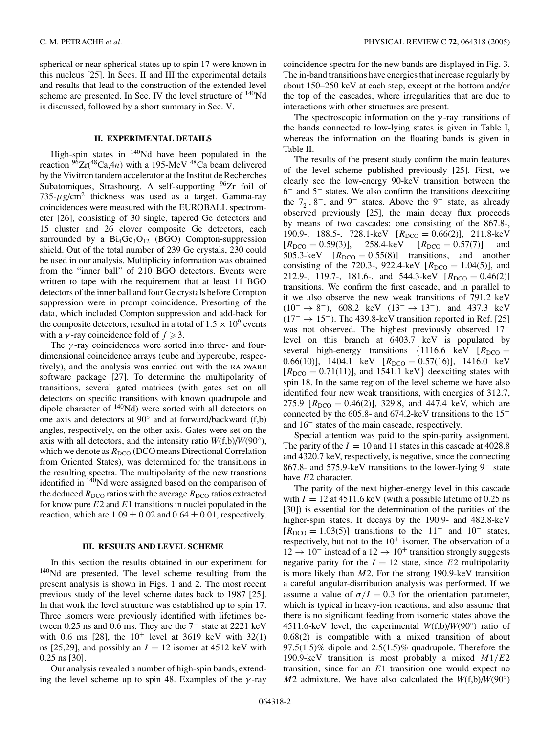spherical or near-spherical states up to spin 17 were known in this nucleus [25]. In Secs. II and III the experimental details and results that lead to the construction of the extended level scheme are presented. In Sec. IV the level structure of <sup>140</sup>Nd is discussed, followed by a short summary in Sec. V.

### **II. EXPERIMENTAL DETAILS**

High-spin states in  $140$ Nd have been populated in the reaction  $96Zr(^{48}Ca,4n)$  with a 195-MeV  $48Ca$  beam delivered by the Vivitron tandem accelerator at the Institut de Recherches Subatomiques, Strasbourg. A self-supporting <sup>96</sup>Zr foil of  $735-\mu$ g/cm<sup>2</sup> thickness was used as a target. Gamma-ray coincidences were measured with the EUROBALL spectrometer [26], consisting of 30 single, tapered Ge detectors and 15 cluster and 26 clover composite Ge detectors, each surrounded by a  $Bi_4Ge_3O_{12}$  (BGO) Compton-suppression shield. Out of the total number of 239 Ge crystals, 230 could be used in our analysis. Multiplicity information was obtained from the "inner ball" of 210 BGO detectors. Events were written to tape with the requirement that at least 11 BGO detectors of the inner ball and four Ge crystals before Compton suppression were in prompt coincidence. Presorting of the data, which included Compton suppression and add-back for the composite detectors, resulted in a total of  $1.5 \times 10^9$  events with a *γ*-ray coincidence fold of  $f \ge 3$ .

The *γ* -ray coincidences were sorted into three- and fourdimensional coincidence arrays (cube and hypercube, respectively), and the analysis was carried out with the RADWARE software package [27]. To determine the multipolarity of transitions, several gated matrices (with gates set on all detectors on specific transitions with known quadrupole and dipole character of  $140$ Nd) were sorted with all detectors on one axis and detectors at 90◦ and at forward/backward (f,b) angles, respectively, on the other axis. Gates were set on the axis with all detectors, and the intensity ratio  $W(f,b)/W(90°)$ , which we denote as  $R_{\text{DCO}}$  (DCO means Directional Correlation from Oriented States), was determined for the transitions in the resulting spectra. The multipolarity of the new transtions identified in 140Nd were assigned based on the comparison of the deduced  $R_{\text{DCO}}$  ratios with the average  $R_{\text{DCO}}$  ratios extracted for know pure *E*2 and *E*1 transitions in nuclei populated in the reaction, which are  $1.09 \pm 0.02$  and  $0.64 \pm 0.01$ , respectively.

#### **III. RESULTS AND LEVEL SCHEME**

In this section the results obtained in our experiment for <sup>140</sup>Nd are presented. The level scheme resulting from the present analysis is shown in Figs. 1 and 2. The most recent previous study of the level scheme dates back to 1987 [25]. In that work the level structure was established up to spin 17. Three isomers were previously identified with lifetimes between 0.25 ns and 0.6 ms. They are the 7<sup>−</sup> state at 2221 keV with 0.6 ms [28], the  $10^{+}$  level at 3619 keV with 32(1) ns [25,29], and possibly an  $I = 12$  isomer at 4512 keV with 0.25 ns [30].

Our analysis revealed a number of high-spin bands, extending the level scheme up to spin 48. Examples of the *γ* -ray coincidence spectra for the new bands are displayed in Fig. 3. The in-band transitions have energies that increase regularly by about 150–250 keV at each step, except at the bottom and/or the top of the cascades, where irregularities that are due to interactions with other structures are present.

The spectroscopic information on the *γ* -ray transitions of the bands connected to low-lying states is given in Table I, whereas the information on the floating bands is given in Table II.

The results of the present study confirm the main features of the level scheme published previously [25]. First, we clearly see the low-energy 90-keV transition between the 6<sup>+</sup> and 5<sup>−</sup> states. We also confirm the transitions deexciting the  $7<sub>2</sub><sup>-</sup>$ ,  $8<sup>-</sup>$ , and  $9<sup>-</sup>$  states. Above the  $9<sup>-</sup>$  state, as already observed previously [25], the main decay flux proceeds by means of two cascades: one consisting of the 867.8-, 190.9-, 188.5-, 728.1-keV  $[R_{DCO} = 0.66(2)]$ , 211.8-keV  $[R_{DCO} = 0.59(3)],$  258.4-keV  $[R_{DCO} = 0.57(7)]$  and 505.3-keV  $[R_{DCO} = 0.55(8)]$  transitions, and another consisting of the 720.3-, 922.4-keV  $[R_{DCO} = 1.04(5)]$ , and 212.9-, 119.7-, 181.6-, and 544.3-keV  $[R_{DCO} = 0.46(2)]$ transitions. We confirm the first cascade, and in parallel to it we also observe the new weak transitions of 791.2 keV  $(10^- \rightarrow 8^-)$ , 608.2 keV  $(13^- \rightarrow 13^-)$ , and 437.3 keV  $(17<sup>-</sup> \rightarrow 15<sup>-</sup>)$ . The 439.8-keV transition reported in Ref. [25] was not observed. The highest previously observed 17<sup>−</sup> level on this branch at 6403.7 keV is populated by several high-energy transitions  $\{1116.6 \text{ keV} \mid R_{DCO} =$ 0.66(10)], 1404.1 keV  $[R_{DCO} = 0.57(16)]$ , 1416.0 keV  $[R_{DCO} = 0.71(11)]$ , and 1541.1 keV deexciting states with spin 18. In the same region of the level scheme we have also identified four new weak transitions, with energies of 312.7, 275.9  $[R_{DCO} = 0.46(2)]$ , 329.8, and 447.4 keV, which are connected by the 605.8- and 674.2-keV transitions to the 15<sup>−</sup> and 16<sup>−</sup> states of the main cascade, respectively.

Special attention was paid to the spin-parity assignment. The parity of the  $I = 10$  and 11 states in this cascade at  $4028.8$ and 4320.7 keV, respectively, is negative, since the connecting 867.8- and 575.9-keV transitions to the lower-lying 9<sup>−</sup> state have *E*2 character.

The parity of the next higher-energy level in this cascade with  $I = 12$  at 4511.6 keV (with a possible lifetime of 0.25 ns [30]) is essential for the determination of the parities of the higher-spin states. It decays by the 190.9- and 482.8-keV  $[R_{DCO} = 1.03(5)]$  transitions to the 11<sup>-</sup> and 10<sup>-</sup> states, respectively, but not to the  $10^+$  isomer. The observation of a  $12 \rightarrow 10^{-}$  instead of a  $12 \rightarrow 10^{+}$  transition strongly suggests negative parity for the  $I = 12$  state, since  $E2$  multipolarity is more likely than *M*2. For the strong 190.9-keV transition a careful angular-distribution analysis was performed. If we assume a value of  $\sigma/I = 0.3$  for the orientation parameter, which is typical in heavy-ion reactions, and also assume that there is no significant feeding from isomeric states above the 4511.6-keV level, the experimental *W*(f,b)/*W*(90◦) ratio of 0.68(2) is compatible with a mixed transition of about  $97.5(1.5)\%$  dipole and  $2.5(1.5)\%$  quadrupole. Therefore the 190.9-keV transition is most probably a mixed *M*1*/E*2 transition, since for an *E*1 transition one would expect no *M*2 admixture. We have also calculated the  $W(f,b)/W(90°)$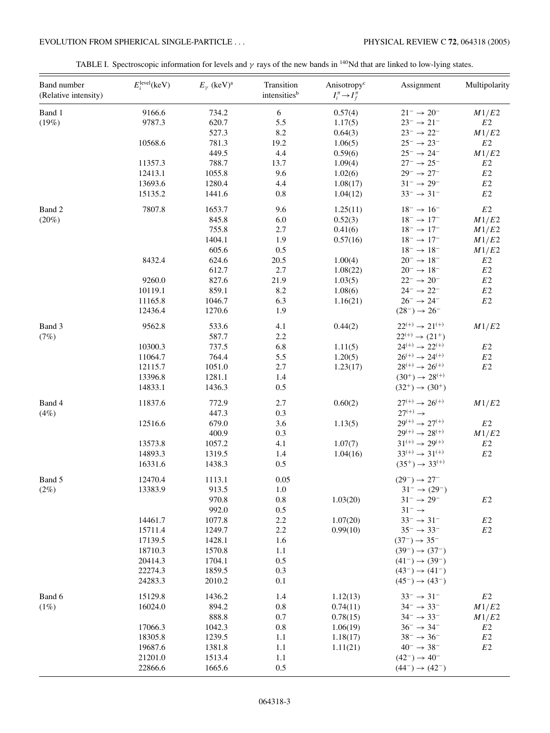# EVOLUTION FROM SPHERICAL SINGLE-PARTICLE . . . PHYSICAL REVIEW C **72**, 064318 (2005)

|  | TABLE I. Spectroscopic information for levels and $\gamma$ rays of the new bands in <sup>140</sup> Nd that are linked to low-lying states. |  |  |  |  |  |
|--|--------------------------------------------------------------------------------------------------------------------------------------------|--|--|--|--|--|
|  |                                                                                                                                            |  |  |  |  |  |

| Band number<br>(Relative intensity) | $E_i^{\text{level}}(\text{keV})$ | $E_{\gamma}$ (keV) <sup>a</sup> | Transition<br>intensitiesb | Anisotropy <sup>c</sup><br>$I_i^{\pi} \rightarrow I_f^{\pi}$ | Assignment                      | Multipolarity  |
|-------------------------------------|----------------------------------|---------------------------------|----------------------------|--------------------------------------------------------------|---------------------------------|----------------|
| Band 1                              | 9166.6                           | 734.2                           | 6                          | 0.57(4)                                                      | $21^- \rightarrow 20^-$         | M1/E2          |
| (19%)                               | 9787.3                           | 620.7                           | 5.5                        | 1.17(5)                                                      | $23^- \rightarrow 21^-$         | E2             |
|                                     |                                  | 527.3                           | 8.2                        | 0.64(3)                                                      | $23^- \rightarrow 22^-$         | M1/E2          |
|                                     | 10568.6                          | 781.3                           | 19.2                       | 1.06(5)                                                      | $25^- \rightarrow 23^-$         | $E2\,$         |
|                                     |                                  | 449.5                           | 4.4                        | 0.59(6)                                                      | $25^- \rightarrow 24^-$         | M1/E2          |
|                                     | 11357.3                          | 788.7                           | 13.7                       | 1.09(4)                                                      | $27^- \rightarrow 25^-$         | E2             |
|                                     | 12413.1                          | 1055.8                          | 9.6                        | 1.02(6)                                                      | $29^{-} \rightarrow 27^{-}$     | $E2\,$         |
|                                     | 13693.6                          | 1280.4                          | 4.4                        | 1.08(17)                                                     | $31^{-} \rightarrow 29^{-}$     | $E2\,$         |
|                                     | 15135.2                          | 1441.6                          | 0.8                        | 1.04(12)                                                     | $33^- \rightarrow 31^-$         | $E2\,$         |
| Band 2                              | 7807.8                           | 1653.7                          | 9.6                        | 1.25(11)                                                     | $18^- \rightarrow 16^-$         | $E2\,$         |
| $(20\%)$                            |                                  | 845.8                           | 6.0                        | 0.52(3)                                                      | $18^- \rightarrow 17^-$         | M1/E2          |
|                                     |                                  | 755.8                           | 2.7                        | 0.41(6)                                                      | $18^- \rightarrow 17^-$         | M1/E2          |
|                                     |                                  | 1404.1                          | 1.9                        | 0.57(16)                                                     | $18^- \rightarrow 17^-$         | M1/E2          |
|                                     |                                  | 605.6                           | 0.5                        |                                                              | $18^- \rightarrow 18^-$         | M1/E2          |
|                                     | 8432.4                           | 624.6                           | 20.5                       | 1.00(4)                                                      | $20^- \rightarrow 18^-$         | E <sub>2</sub> |
|                                     |                                  | 612.7                           | 2.7                        | 1.08(22)                                                     | $20^- \rightarrow 18^-$         | E2             |
|                                     | 9260.0                           | 827.6                           | 21.9                       | 1.03(5)                                                      | $22^- \rightarrow 20^-$         | $E2\,$         |
|                                     | 10119.1                          | 859.1                           | 8.2                        | 1.08(6)                                                      | $24^-\rightarrow 22^-$          | $E2\,$         |
|                                     | 11165.8                          | 1046.7                          | 6.3                        | 1.16(21)                                                     | $26^- \rightarrow 24^-$         | E2             |
|                                     | 12436.4                          | 1270.6                          | 1.9                        |                                                              | $(28^{-}) \rightarrow 26^{-}$   |                |
| Band 3                              | 9562.8                           | 533.6                           | 4.1                        | 0.44(2)                                                      | $22^{(+)} \rightarrow 21^{(+)}$ | M1/E2          |
| (7%)                                |                                  | 587.7                           | 2.2                        |                                                              | $22^{(+)} \rightarrow (21^{+})$ |                |
|                                     | 10300.3                          | 737.5                           | 6.8                        | 1.11(5)                                                      | $24^{(+)} \rightarrow 22^{(+)}$ | $E2\,$         |
|                                     | 11064.7                          | 764.4                           | 5.5                        | 1.20(5)                                                      | $26^{(+)} \rightarrow 24^{(+)}$ | $E2\,$         |
|                                     | 12115.7                          | 1051.0                          | 2.7                        | 1.23(17)                                                     | $28^{(+)} \rightarrow 26^{(+)}$ | $E2\,$         |
|                                     | 13396.8                          | 1281.1                          | 1.4                        |                                                              | $(30^+) \rightarrow 28^{(+)}$   |                |
|                                     | 14833.1                          | 1436.3                          | 0.5                        |                                                              | $(32^{+}) \rightarrow (30^{+})$ |                |
| Band 4                              | 11837.6                          | 772.9                           | 2.7                        | 0.60(2)                                                      | $27^{(+)} \rightarrow 26^{(+)}$ | M1/E2          |
| (4%)                                |                                  | 447.3                           | 0.3                        |                                                              | $27^{(+)} \rightarrow$          |                |
|                                     | 12516.6                          | 679.0                           | 3.6                        | 1.13(5)                                                      | $29^{(+)} \rightarrow 27^{(+)}$ | E2             |
|                                     |                                  | 400.9                           | 0.3                        |                                                              | $29^{(+)} \rightarrow 28^{(+)}$ | M1/E2          |
|                                     | 13573.8                          | 1057.2                          | 4.1                        | 1.07(7)                                                      | $31^{(+)} \rightarrow 29^{(+)}$ | $E2\,$         |
|                                     | 14893.3                          | 1319.5                          | 1.4                        | 1.04(16)                                                     | $33^{(+)} \rightarrow 31^{(+)}$ | $E2\,$         |
|                                     | 16331.6                          | 1438.3                          | 0.5                        |                                                              | $(35^+) \rightarrow 33^{(+)}$   |                |
| Band 5                              | 12470.4                          | 1113.1                          | 0.05                       |                                                              | $(29^{-}) \rightarrow 27^{-}$   |                |
| (2%)                                | 13383.9                          | 913.5                           | 1.0                        |                                                              | $31^- \rightarrow (29^-)$       |                |
|                                     |                                  | 970.8                           | 0.8                        | 1.03(20)                                                     | $31^- \rightarrow 29^-$         | $E2\,$         |
|                                     |                                  | 992.0                           | $0.5\,$                    |                                                              | $31^- \rightarrow$              |                |
|                                     | 14461.7                          | 1077.8                          | 2.2                        | 1.07(20)                                                     | $33^{-} \rightarrow 31^{-}$     | E2             |
|                                     | 15711.4                          | 1249.7                          | 2.2                        | 0.99(10)                                                     | $35^- \rightarrow 33^-$         | E2             |
|                                     | 17139.5                          | 1428.1                          | 1.6                        |                                                              | $(37^{-}) \rightarrow 35^{-}$   |                |
|                                     | 18710.3                          | 1570.8                          | 1.1                        |                                                              | $(39^{-}) \rightarrow (37^{-})$ |                |
|                                     | 20414.3                          | 1704.1                          | 0.5                        |                                                              | $(41^{-}) \rightarrow (39^{-})$ |                |
|                                     | 22274.3                          | 1859.5                          | 0.3                        |                                                              | $(43^{-}) \rightarrow (41^{-})$ |                |
|                                     | 24283.3                          | 2010.2                          | 0.1                        |                                                              | $(45^{-}) \rightarrow (43^{-})$ |                |
| Band 6                              | 15129.8                          | 1436.2                          | 1.4                        | 1.12(13)                                                     | $33^- \rightarrow 31^-$         | $E2\,$         |
| (1%)                                | 16024.0                          | 894.2                           | 0.8                        | 0.74(11)                                                     | $34^{-} \rightarrow 33^{-}$     | M1/E2          |
|                                     |                                  | 888.8                           | 0.7                        | 0.78(15)                                                     | $34^{-} \rightarrow 33^{-}$     | M1/E2          |
|                                     | 17066.3                          | 1042.3                          | 0.8                        | 1.06(19)                                                     | $36^- \rightarrow 34^-$         | E2             |
|                                     | 18305.8                          | 1239.5                          | 1.1                        | 1.18(17)                                                     | $38^- \rightarrow 36^-$         | E <sub>2</sub> |
|                                     | 19687.6                          | 1381.8                          | 1.1                        | 1.11(21)                                                     | $40^- \rightarrow 38^-$         | E <sub>2</sub> |
|                                     | 21201.0                          | 1513.4                          | 1.1                        |                                                              | $(42^{-}) \rightarrow 40^{-}$   |                |
|                                     | 22866.6                          | 1665.6                          | 0.5                        |                                                              | $(44^{-}) \rightarrow (42^{-})$ |                |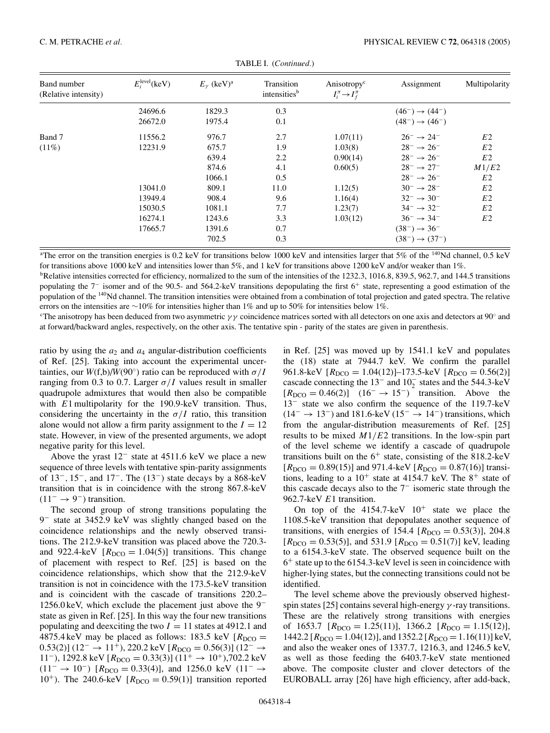| Band number<br>(Relative intensity) | $E_i^{\text{level}}(\text{keV})$ | $E_{\nu}$ (keV) <sup>a</sup> | Transition<br>intensities <sup>b</sup> | Anisotropy <sup>c</sup><br>$I_i^{\pi} \rightarrow I_f^{\pi}$ | Assignment                      | Multipolarity  |
|-------------------------------------|----------------------------------|------------------------------|----------------------------------------|--------------------------------------------------------------|---------------------------------|----------------|
|                                     | 24696.6                          | 1829.3                       | 0.3                                    |                                                              | $(46^{-}) \rightarrow (44^{-})$ |                |
|                                     | 26672.0                          | 1975.4                       | 0.1                                    |                                                              | $(48^{-}) \rightarrow (46^{-})$ |                |
| Band 7                              | 11556.2                          | 976.7                        | 2.7                                    | 1.07(11)                                                     | $26^- \rightarrow 24^-$         | E <sub>2</sub> |
| $(11\%)$                            | 12231.9                          | 675.7                        | 1.9                                    | 1.03(8)                                                      | $28^{-} \rightarrow 26^{-}$     | E <sub>2</sub> |
|                                     |                                  | 639.4                        | 2.2                                    | 0.90(14)                                                     | $28^{-} \rightarrow 26^{-}$     | E <sub>2</sub> |
|                                     |                                  | 874.6                        | 4.1                                    | 0.60(5)                                                      | $28^- \rightarrow 27^-$         | M1/E2          |
|                                     |                                  | 1066.1                       | 0.5                                    |                                                              | $28^{-} \rightarrow 26^{-}$     | E <sub>2</sub> |
|                                     | 13041.0                          | 809.1                        | 11.0                                   | 1.12(5)                                                      | $30^{-} \rightarrow 28^{-}$     | E <sub>2</sub> |
|                                     | 13949.4                          | 908.4                        | 9.6                                    | 1.16(4)                                                      | $32^{-} \rightarrow 30^{-}$     | E <sub>2</sub> |
|                                     | 15030.5                          | 1081.1                       | 7.7                                    | 1.23(7)                                                      | $34^{-} \rightarrow 32^{-}$     | E <sub>2</sub> |
|                                     | 16274.1                          | 1243.6                       | 3.3                                    | 1.03(12)                                                     | $36^- \rightarrow 34^-$         | E <sub>2</sub> |
|                                     | 17665.7                          | 1391.6                       | 0.7                                    |                                                              | $(38^{-}) \rightarrow 36^{-}$   |                |
|                                     |                                  | 702.5                        | 0.3                                    |                                                              | $(38^{-}) \rightarrow (37^{-})$ |                |

| TABLE I. (Continued.) |  |
|-----------------------|--|
|-----------------------|--|

<sup>a</sup>The error on the transition energies is 0.2 keV for transitions below 1000 keV and intensities larger that 5% of the <sup>140</sup>Nd channel, 0.5 keV for transitions above 1000 keV and intensities lower than 5%, and 1 keV for transitions above 1200 keV and/or weaker than 1%.

bRelative intensities corrected for efficiency, normalized to the sum of the intensities of the 1232.3, 1016.8, 839.5, 962.7, and 144.5 transitions populating the 7<sup>−</sup> isomer and of the 90.5- and 564.2-keV transitions depopulating the first 6<sup>+</sup> state, representing a good estimation of the population of the <sup>140</sup>Nd channel. The transition intensities were obtained from a combination of total projection and gated spectra. The relative errors on the intensities are ∼10% for intensities higher than 1% and up to 50% for intensities below 1%.

The anisotropy has been deduced from two asymmetric *γ γ* coincidence matrices sorted with all detectors on one axis and detectors at 90◦ and at forward/backward angles, respectively, on the other axis. The tentative spin - parity of the states are given in parenthesis.

ratio by using the  $a_2$  and  $a_4$  angular-distribution coefficients of Ref. [25]. Taking into account the experimental uncertainties, our *W*(f,b)/*W*(90°) ratio can be reproduced with  $\sigma/I$ ranging from 0.3 to 0.7. Larger  $\sigma/I$  values result in smaller quadrupole admixtures that would then also be compatible with *E*1 multipolarity for the 190.9-keV transition. Thus, considering the uncertainty in the  $\sigma/I$  ratio, this transition alone would not allow a firm parity assignment to the  $I = 12$ state. However, in view of the presented arguments, we adopt negative parity for this level.

Above the yrast  $12^-$  state at 4511.6 keV we place a new sequence of three levels with tentative spin-parity assignments of 13−*,* 15−, and 17−. The (13−) state decays by a 868-keV transition that is in coincidence with the strong 867.8-keV  $(11<sup>-</sup> \rightarrow 9<sup>-</sup>)$  transition.

The second group of strong transitions populating the 9<sup>−</sup> state at 3452.9 keV was slightly changed based on the coincidence relationships and the newly observed transitions. The 212.9-keV transition was placed above the 720.3 and 922.4-keV  $[R_{DCO} = 1.04(5)]$  transitions. This change of placement with respect to Ref. [25] is based on the coincidence relationships, which show that the 212.9-keV transition is not in coincidence with the 173.5-keV transition and is coincident with the cascade of transitions 220.2– 1256.0 keV, which exclude the placement just above the 9<sup>−</sup> state as given in Ref. [25]. In this way the four new transitions populating and deexciting the two  $I = 11$  states at 4912.1 and 4875.4 keV may be placed as follows: 183.5 keV  $[R_{DCO} =$  $0.53(2)$ ] (12<sup>−</sup> → 11<sup>+</sup>), 220.2 keV [ $R_{DCO}$  = 0.56(3)] (12<sup>−</sup> → 11<sup>-</sup>), 1292.8 keV [ $R_{\text{DCO}} = 0.33(3)$ ] (11<sup>+</sup> → 10<sup>+</sup>),702.2 keV  $(11^- \rightarrow 10^-)$  [ $R_{DCO} = 0.33(4)$ ], and 1256.0 keV (11<sup>-</sup> → 10<sup>+</sup>). The 240.6-keV  $[R_{DCO} = 0.59(1)]$  transition reported

in Ref. [25] was moved up by 1541.1 keV and populates the (18) state at 7944.7 keV. We confirm the parallel 961.8-keV  $[R_{\text{DCO}} = 1.04(12)] - 173.5$ -keV  $[R_{\text{DCO}} = 0.56(2)]$ cascade connecting the  $13^-$  and  $10_2^-$  states and the 544.3-keV  $[R_{DCO} = 0.46(2)]$  (16<sup>-</sup> → 15<sup>-</sup>) transition. Above the 13<sup>−</sup> state we also confirm the sequence of the 119.7-keV  $(14<sup>-</sup> \rightarrow 13<sup>-</sup>)$  and 181.6-keV (15<sup>-</sup>  $\rightarrow$  14<sup>-</sup>) transitions, which from the angular-distribution measurements of Ref. [25] results to be mixed *M*1*/E*2 transitions. In the low-spin part of the level scheme we identify a cascade of quadrupole transitions built on the  $6^+$  state, consisting of the 818.2-keV  $[R_{\text{DCO}} = 0.89(15)]$  and 971.4-keV  $[R_{\text{DCO}} = 0.87(16)]$  transitions, leading to a  $10^+$  state at 4154.7 keV. The  $8^+$  state of this cascade decays also to the 7<sup>−</sup> isomeric state through the 962.7-keV *E*1 transition.

On top of the  $4154.7$ -keV  $10^+$  state we place the 1108.5-keV transition that depopulates another sequence of transitions, with energies of 154.4  $[R_{DCO} = 0.53(3)]$ , 204.8  $[R_{\text{DCO}} = 0.53(5)]$ , and 531.9  $[R_{\text{DCO}} = 0.51(7)]$  keV, leading to a 6154.3-keV state. The observed sequence built on the  $6<sup>+</sup>$  state up to the 6154.3-keV level is seen in coincidence with higher-lying states, but the connecting transitions could not be identified.

The level scheme above the previously observed highestspin states [25] contains several high-energy *γ* -ray transitions. These are the relatively strong transitions with energies of 1653.7  $[R_{DCO} = 1.25(11)], 1366.2 [R_{DCO} = 1.15(12)],$  $1442.2$  [ $R_{\text{DCO}} = 1.04(12)$ ], and  $1352.2$  [ $R_{\text{DCO}} = 1.16(11)$ ] keV, and also the weaker ones of 1337.7, 1216.3, and 1246.5 keV, as well as those feeding the 6403.7-keV state mentioned above. The composite cluster and clover detectors of the EUROBALL array [26] have high efficiency, after add-back,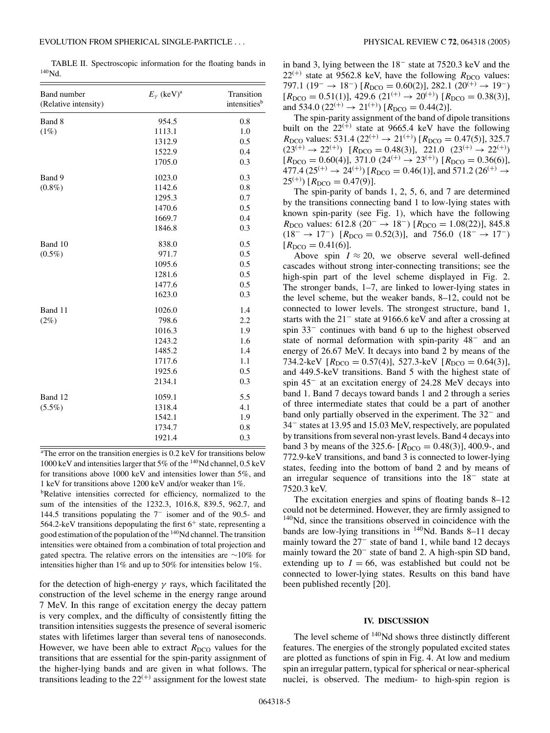TABLE II. Spectroscopic information for the floating bands in  $140$ Nd.

| Band number<br>(Relative intensity) | $E_{\gamma}$ (keV) <sup>a</sup> | Transition<br>intensities <sup>b</sup> |
|-------------------------------------|---------------------------------|----------------------------------------|
| Band 8                              | 954.5                           | 0.8                                    |
| (1%)                                | 1113.1                          | 1.0                                    |
|                                     | 1312.9                          | 0.5                                    |
|                                     | 1522.9                          | 0.4                                    |
|                                     | 1705.0                          | 0.3                                    |
| Band 9                              | 1023.0                          | 0.3                                    |
| $(0.8\%)$                           | 1142.6                          | 0.8                                    |
|                                     | 1295.3                          | 0.7                                    |
|                                     | 1470.6                          | 0.5                                    |
|                                     | 1669.7                          | 0.4                                    |
|                                     | 1846.8                          | 0.3                                    |
| Band 10                             | 838.0                           | 0.5                                    |
| $(0.5\%)$                           | 971.7                           | 0.5                                    |
|                                     | 1095.6                          | 0.5                                    |
|                                     | 1281.6                          | 0.5                                    |
|                                     | 1477.6                          | 0.5                                    |
|                                     | 1623.0                          | 0.3                                    |
| Band 11                             | 1026.0                          | 1.4                                    |
| (2%)                                | 798.6                           | 2.2                                    |
|                                     | 1016.3                          | 1.9                                    |
|                                     | 1243.2                          | 1.6                                    |
|                                     | 1485.2                          | 1.4                                    |
|                                     | 1717.6                          | 1.1                                    |
|                                     | 1925.6                          | 0.5                                    |
|                                     | 2134.1                          | 0.3                                    |
| Band 12                             | 1059.1                          | 5.5                                    |
| $(5.5\%)$                           | 1318.4                          | 4.1                                    |
|                                     | 1542.1                          | 1.9                                    |
|                                     | 1734.7                          | 0.8                                    |
|                                     | 1921.4                          | 0.3                                    |

<sup>a</sup>The error on the transition energies is 0.2 keV for transitions below 1000 keV and intensities larger that  $5\%$  of the  $^{140}$ Nd channel, 0.5 keV for transitions above 1000 keV and intensities lower than 5%, and 1 keV for transitions above 1200 keV and/or weaker than 1%.

**bRelative** intensities corrected for efficiency, normalized to the sum of the intensities of the 1232.3, 1016.8, 839.5, 962.7, and 144.5 transitions populating the 7<sup>−</sup> isomer and of the 90.5- and 564.2-keV transitions depopulating the first  $6^+$  state, representing a good estimation of the population of the 140Nd channel. The transition intensities were obtained from a combination of total projection and gated spectra. The relative errors on the intensities are ∼10% for intensities higher than 1% and up to 50% for intensities below 1%.

for the detection of high-energy *γ* rays, which facilitated the construction of the level scheme in the energy range around 7 MeV. In this range of excitation energy the decay pattern is very complex, and the difficulty of consistently fitting the transition intensities suggests the presence of several isomeric states with lifetimes larger than several tens of nanoseconds. However, we have been able to extract  $R_{\text{DCO}}$  values for the transitions that are essential for the spin-parity assignment of the higher-lying bands and are given in what follows. The transitions leading to the  $22^{(+)}$  assignment for the lowest state

in band 3, lying between the 18<sup>−</sup> state at 7520.3 keV and the  $22^{(+)}$  state at 9562.8 keV, have the following  $R_{\text{DCO}}$  values: 797.1 (19<sup>-</sup> → 18<sup>-</sup>) [R<sub>DCO</sub> = 0.60(2)], 282.1 (20<sup>(+)</sup> → 19<sup>-</sup>)  $[R_{\text{DCO}} = 0.51(1)], 429.6 (21^{(+)} \rightarrow 20^{(+)}) [R_{\text{DCO}} = 0.38(3)],$ and 534.0 (22<sup>(+)</sup>  $\rightarrow$  21<sup>(+)</sup>) [ $R_{DCO} = 0.44(2)$ ].

The spin-parity assignment of the band of dipole transitions built on the  $22^{(+)}$  state at 9665.4 keV have the following  $R_{\text{DCO}}$  values: 531.4 (22<sup>(+)</sup>  $\rightarrow$  21<sup>(+)</sup>) [ $R_{\text{DCO}} = 0.47(5)$ ], 325.7  $(23^{(+)} \rightarrow 22^{(+)})$   $[R_{DCO} = 0.48(3)], 221.0 (23^{(+)} \rightarrow 22^{(+)})$  $[R_{\text{DCO}} = 0.60(4)], 371.0 (24^{(+)} \rightarrow 23^{(+)}) [R_{\text{DCO}} = 0.36(6)],$  $477.4 (25^{(+)} \rightarrow 24^{(+)}) [R_{DCO} = 0.46(1)]$ , and  $571.2 (26^{(+)} \rightarrow 24^{(+)})$  $25^{(+)}$ ) [ $R_{\text{DCO}} = 0.47(9)$ ].

The spin-parity of bands 1, 2, 5, 6, and 7 are determined by the transitions connecting band 1 to low-lying states with known spin-parity (see Fig. 1), which have the following *R*<sub>DCO</sub> values: 612.8 (20<sup>-</sup> → 18<sup>-</sup>) [*R*<sub>DCO</sub> = 1.08(22)], 845.8  $(18^- \rightarrow 17^-)$  [ $R_{DCO} = 0.52(3)$ ], and 756.0  $(18^- \rightarrow 17^-)$  $[R_{DCO} = 0.41(6)].$ 

Above spin  $I \approx 20$ , we observe several well-defined cascades without strong inter-connecting transitions; see the high-spin part of the level scheme displayed in Fig. 2. The stronger bands, 1–7, are linked to lower-lying states in the level scheme, but the weaker bands, 8–12, could not be connected to lower levels. The strongest structure, band 1, starts with the 21<sup>−</sup> state at 9166.6 keV and after a crossing at spin 33<sup>−</sup> continues with band 6 up to the highest observed state of normal deformation with spin-parity 48<sup>−</sup> and an energy of 26.67 MeV. It decays into band 2 by means of the 734.2-keV  $[R_{DCO} = 0.57(4)]$ , 527.3-keV  $[R_{DCO} = 0.64(3)]$ , and 449.5-keV transitions. Band 5 with the highest state of spin 45<sup>−</sup> at an excitation energy of 24.28 MeV decays into band 1. Band 7 decays toward bands 1 and 2 through a series of three intermediate states that could be a part of another band only partially observed in the experiment. The 32<sup>−</sup> and 34<sup>−</sup> states at 13.95 and 15.03 MeV, respectively, are populated by transitions from several non-yrast levels. Band 4 decays into band 3 by means of the 325.6-  $[R_{\text{DCO}} = 0.48(3)]$ , 400.9-, and 772.9-keV transitions, and band 3 is connected to lower-lying states, feeding into the bottom of band 2 and by means of an irregular sequence of transitions into the 18<sup>−</sup> state at 7520.3 keV.

The excitation energies and spins of floating bands 8–12 could not be determined. However, they are firmly assigned to  $140$ Nd, since the transitions observed in coincidence with the bands are low-lying transitions in  $140$ Nd. Bands 8–11 decay mainly toward the 27<sup>−</sup> state of band 1, while band 12 decays mainly toward the 20<sup>−</sup> state of band 2. A high-spin SD band, extending up to  $I = 66$ , was established but could not be connected to lower-lying states. Results on this band have been published recently [20].

### **IV. DISCUSSION**

The level scheme of <sup>140</sup>Nd shows three distinctly different features. The energies of the strongly populated excited states are plotted as functions of spin in Fig. 4. At low and medium spin an irregular pattern, typical for spherical or near-spherical nuclei, is observed. The medium- to high-spin region is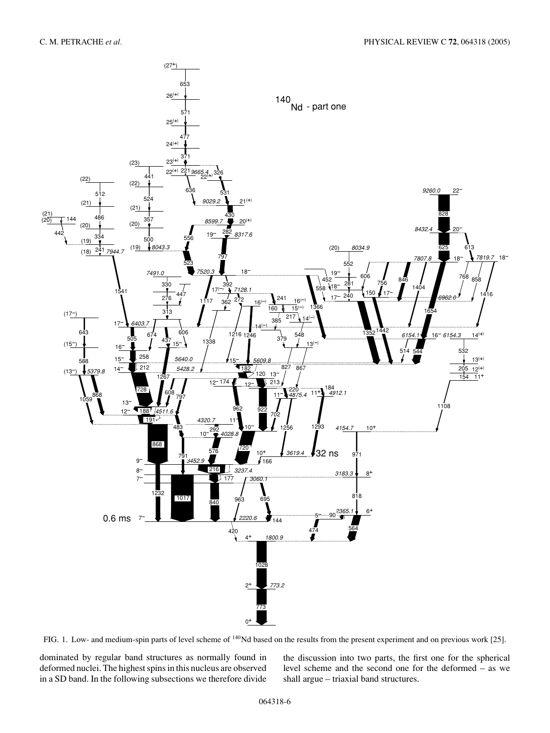

FIG. 1. Low- and medium-spin parts of level scheme of 140Nd based on the results from the present experiment and on previous work [25].

dominated by regular band structures as normally found in deformed nuclei. The highest spins in this nucleus are observed in a SD band. In the following subsections we therefore divide

the discussion into two parts, the first one for the spherical level scheme and the second one for the deformed – as we shall argue – triaxial band structures.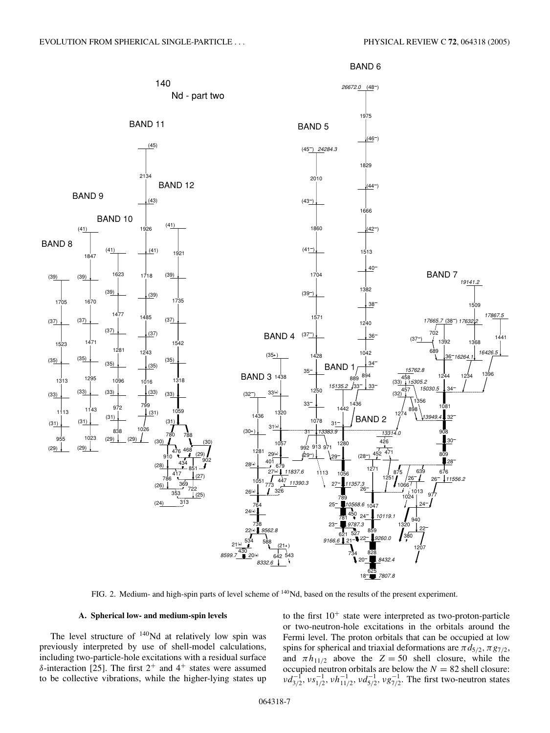

FIG. 2. Medium- and high-spin parts of level scheme of 140Nd, based on the results of the present experiment.

### **A. Spherical low- and medium-spin levels**

The level structure of  $140$ Nd at relatively low spin was previously interpreted by use of shell-model calculations, including two-particle-hole excitations with a residual surface  $δ$ -interaction [25]. The first  $2^+$  and  $4^+$  states were assumed to be collective vibrations, while the higher-lying states up

to the first  $10^{+}$  state were interpreted as two-proton-particle or two-neutron-hole excitations in the orbitals around the Fermi level. The proton orbitals that can be occupied at low spins for spherical and triaxial deformations are  $\pi d_{5/2}, \pi g_{7/2}$ , and  $\pi h_{11/2}$  above the  $Z = 50$  shell closure, while the occupied neutron orbitals are below the  $N = 82$  shell closure:  $v d_{3/2}^{-1}$ ,  $v s_{1/2}^{-1}$ ,  $v h_{11/2}^{-1}$ ,  $v d_{5/2}^{-1}$ ,  $v g_{7/2}^{-1}$ . The first two-neutron states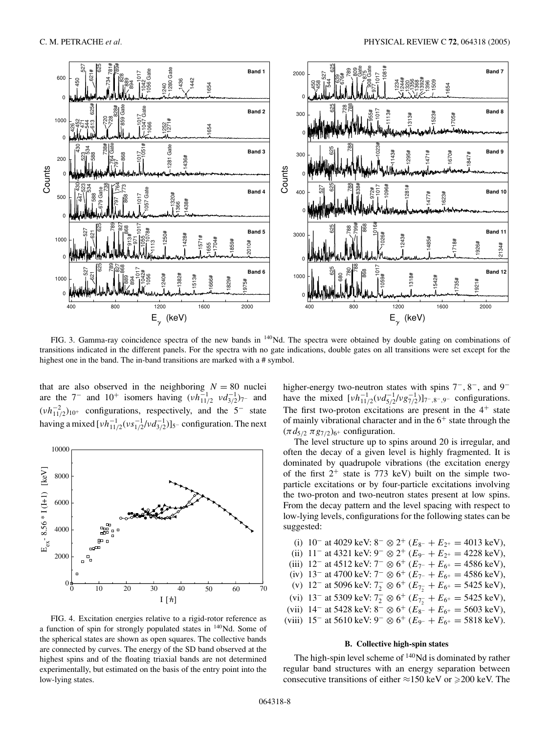

FIG. 3. Gamma-ray coincidence spectra of the new bands in 140Nd. The spectra were obtained by double gating on combinations of transitions indicated in the different panels. For the spectra with no gate indications, double gates on all transitions were set except for the highest one in the band. The in-band transitions are marked with a # symbol.

that are also observed in the neighboring  $N = 80$  nuclei are the  $7^-$  and  $10^+$  isomers having  $(\nu h_{11/2}^{-1} \nu d_{3/2}^{-1})_{7}^{-1}$  and  $(\nu h_{11/2}^{-2})_{10^+}$  configurations, respectively, and the 5<sup>-</sup> state having a mixed [ $\nu h_{11/2}^{-1}(\nu s_{1/2}^{-1}/\nu d_{3/2}^{-1})$ ]<sub>5</sub>− configuration. The next



FIG. 4. Excitation energies relative to a rigid-rotor reference as a function of spin for strongly populated states in 140Nd. Some of the spherical states are shown as open squares. The collective bands are connected by curves. The energy of the SD band observed at the highest spins and of the floating triaxial bands are not determined experimentally, but estimated on the basis of the entry point into the low-lying states.

higher-energy two-neutron states with spins 7−*,* 8−, and 9<sup>−</sup> have the mixed  $[\nu h_{11/2}^{-1}(\nu d_{5/2}^{-1}/\nu g_{7/2}^{-1})]_{7-,8-,9-}$  configurations. The first two-proton excitations are present in the  $4^+$  state of mainly vibrational character and in the  $6^+$  state through the  $(\pi d_{5/2} \pi g_{7/2})_{6^+}$  configuration.

The level structure up to spins around 20 is irregular, and often the decay of a given level is highly fragmented. It is dominated by quadrupole vibrations (the excitation energy of the first  $2^+$  state is 773 keV) built on the simple twoparticle excitations or by four-particle excitations involving the two-proton and two-neutron states present at low spins. From the decay pattern and the level spacing with respect to low-lying levels, configurations for the following states can be suggested:

| (i) $10^-$ at 4029 keV: $8^- \otimes 2^+$ ( $E_{8^-} + E_{2^+} = 4013$ keV),                    |
|-------------------------------------------------------------------------------------------------|
| (ii) 11 <sup>-</sup> at 4321 keV: $9^- \otimes 2^+$ ( $E_{9^-} + E_{2^+} = 4228$ keV),          |
| (iii) 12 <sup>-</sup> at 4512 keV: $7^{-} \otimes 6^{+}$ ( $E_{7^{-}} + E_{6^{+}} = 4586$ keV), |
| (iv) 13 <sup>-</sup> at 4700 keV: $7^{-} \otimes 6^{+}$ ( $E_{7^{-}} + E_{6^{+}} = 4586$ keV),  |
| (v) 12 <sup>-</sup> at 5096 keV: $7_2^- \otimes 6^+$ ( $E_{7_2^-} + E_{6^+} = 5425$ keV),       |
| (vi) 13 <sup>-</sup> at 5309 keV: $7_2^- \otimes 6^+$ ( $E_{7_2^-} + E_{6^+} = 5425$ keV),      |
| (vii) $14^-$ at 5428 keV: $8^- \otimes 6^+$ ( $E_{8^-} + E_{6^+} = 5603$ keV),                  |
| (viii) $15^-$ at 5610 keV: $9^- \otimes 6^+$ ( $E_{9^-} + E_{6^+} = 5818$ keV).                 |
|                                                                                                 |

## **B. Collective high-spin states**

The high-spin level scheme of  $140$ Nd is dominated by rather regular band structures with an energy separation between consecutive transitions of either  $\approx$ 150 keV or  $\geq$ 200 keV. The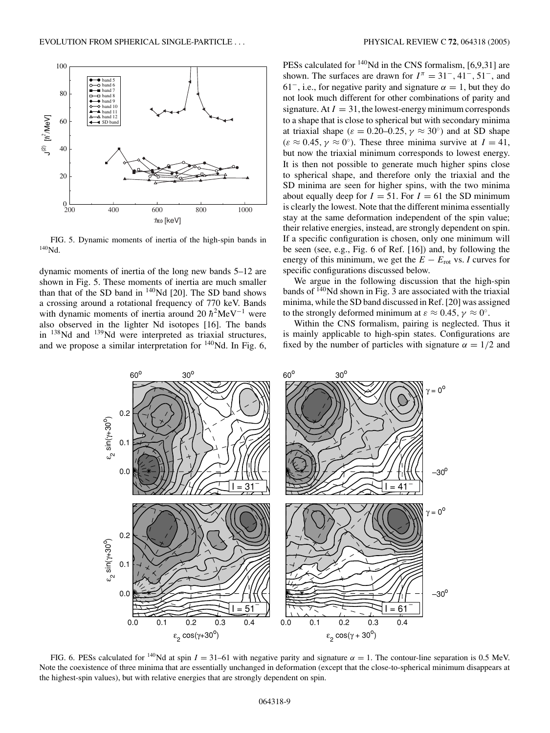

FIG. 5. Dynamic moments of inertia of the high-spin bands in 140Nd.

dynamic moments of inertia of the long new bands 5–12 are shown in Fig. 5. These moments of inertia are much smaller than that of the SD band in 140Nd [20]. The SD band shows a crossing around a rotational frequency of 770 keV. Bands with dynamic moments of inertia around 20  $\hbar^2$ MeV<sup>-1</sup> were also observed in the lighter Nd isotopes [16]. The bands in 138Nd and 139Nd were interpreted as triaxial structures, and we propose a similar interpretation for  $\frac{140}{Nd}$ . In Fig. 6, PESs calculated for  $140$ Nd in the CNS formalism, [6,9,31] are shown. The surfaces are drawn for  $I^{\pi} = 31^{-}, 41^{-}, 51^{-},$  and 61<sup>-</sup>, i.e., for negative parity and signature  $\alpha = 1$ , but they do not look much different for other combinations of parity and signature. At  $I = 31$ , the lowest-energy minimum corresponds to a shape that is close to spherical but with secondary minima at triaxial shape ( $\varepsilon = 0.20{\text -}0.25$ ,  $\gamma \approx 30^{\circ}$ ) and at SD shape  $(\varepsilon \approx 0.45, \gamma \approx 0^{\circ})$ . These three minima survive at  $I = 41$ , but now the triaxial minimum corresponds to lowest energy. It is then not possible to generate much higher spins close to spherical shape, and therefore only the triaxial and the SD minima are seen for higher spins, with the two minima about equally deep for  $I = 51$ . For  $I = 61$  the SD minimum is clearly the lowest. Note that the different minima essentially stay at the same deformation independent of the spin value; their relative energies, instead, are strongly dependent on spin. If a specific configuration is chosen, only one minimum will be seen (see, e.g., Fig. 6 of Ref. [16]) and, by following the energy of this minimum, we get the  $E - E_{\text{rot}}$  vs. *I* curves for specific configurations discussed below.

We argue in the following discussion that the high-spin bands of  $140$ Nd shown in Fig. 3 are associated with the triaxial minima, while the SD band discussed in Ref. [20] was assigned to the strongly deformed minimum at  $\varepsilon \approx 0.45$ ,  $\gamma \approx 0^{\circ}$ .

Within the CNS formalism, pairing is neglected. Thus it is mainly applicable to high-spin states. Configurations are fixed by the number of particles with signature  $\alpha = 1/2$  and



FIG. 6. PESs calculated for <sup>140</sup>Nd at spin  $I = 31-61$  with negative parity and signature  $\alpha = 1$ . The contour-line separation is 0.5 MeV. Note the coexistence of three minima that are essentially unchanged in deformation (except that the close-to-spherical minimum disappears at the highest-spin values), but with relative energies that are strongly dependent on spin.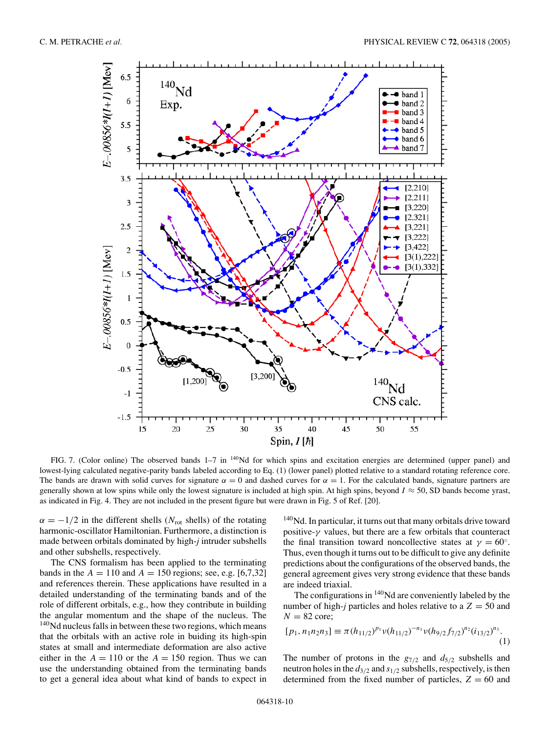

FIG. 7. (Color online) The observed bands  $1-7$  in  $140$ Nd for which spins and excitation energies are determined (upper panel) and lowest-lying calculated negative-parity bands labeled according to Eq. (1) (lower panel) plotted relative to a standard rotating reference core. The bands are drawn with solid curves for signature  $\alpha = 0$  and dashed curves for  $\alpha = 1$ . For the calculated bands, signature partners are generally shown at low spins while only the lowest signature is included at high spin. At high spins, beyond  $I \approx 50$ , SD bands become yrast, as indicated in Fig. 4. They are not included in the present figure but were drawn in Fig. 5 of Ref. [20].

 $\alpha = -1/2$  in the different shells ( $N_{\text{rot}}$  shells) of the rotating harmonic-oscillator Hamiltonian. Furthermore, a distinction is made between orbitals dominated by high-*j* intruder subshells and other subshells, respectively.

The CNS formalism has been applied to the terminating bands in the  $A = 110$  and  $A = 150$  regions; see, e.g. [6,7,32] and references therein. These applications have resulted in a detailed understanding of the terminating bands and of the role of different orbitals, e.g., how they contribute in building the angular momentum and the shape of the nucleus. The <sup>140</sup>Nd nucleus falls in between these two regions, which means that the orbitals with an active role in buiding its high-spin states at small and intermediate deformation are also active either in the  $A = 110$  or the  $A = 150$  region. Thus we can use the understanding obtained from the terminating bands to get a general idea about what kind of bands to expect in

<sup>140</sup>Nd. In particular, it turns out that many orbitals drive toward positive-*γ* values, but there are a few orbitals that counteract the final transition toward noncollective states at  $\gamma = 60^\circ$ . Thus, even though it turns out to be difficult to give any definite predictions about the configurations of the observed bands, the general agreement gives very strong evidence that these bands are indeed triaxial.

The configurations in  $140$ Nd are conveniently labeled by the number of high-*j* particles and holes relative to a  $Z = 50$  and  $N = 82$  core;

$$
[p_1, n_1 n_2 n_3] \equiv \pi (h_{11/2})^{p_1} v(h_{11/2})^{-n_1} v(h_{9/2} f_{7/2})^{n_2} (i_{13/2})^{n_3}.
$$
\n(1)

The number of protons in the  $g_{7/2}$  and  $d_{5/2}$  subshells and neutron holes in the *d*3*/*<sup>2</sup> and *s*1*/*<sup>2</sup> subshells, respectively, is then determined from the fixed number of particles,  $Z = 60$  and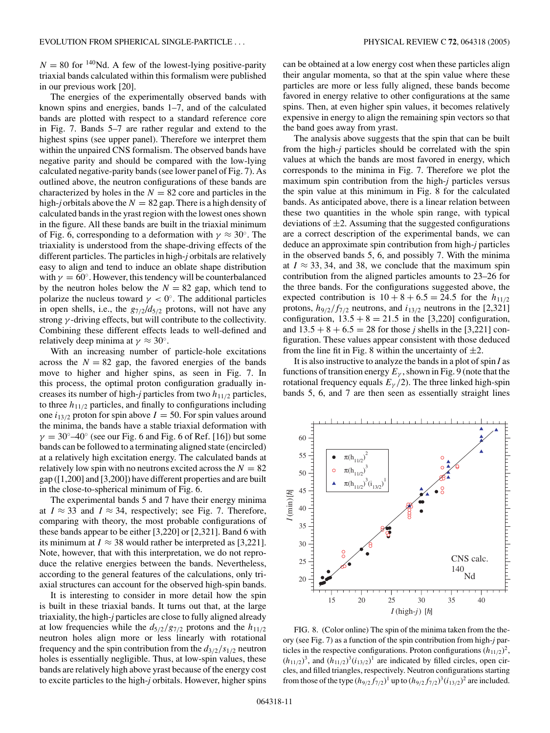$N = 80$  for <sup>140</sup>Nd. A few of the lowest-lying positive-parity triaxial bands calculated within this formalism were published in our previous work [20].

The energies of the experimentally observed bands with known spins and energies, bands 1–7, and of the calculated bands are plotted with respect to a standard reference core in Fig. 7. Bands 5–7 are rather regular and extend to the highest spins (see upper panel). Therefore we interpret them within the unpaired CNS formalism. The observed bands have negative parity and should be compared with the low-lying calculated negative-parity bands (see lower panel of Fig. 7). As outlined above, the neutron configurations of these bands are characterized by holes in the  $N = 82$  core and particles in the high-*j* orbitals above the  $N = 82$  gap. There is a high density of calculated bands in the yrast region with the lowest ones shown in the figure. All these bands are built in the triaxial minimum of Fig. 6, corresponding to a deformation with  $\gamma \approx 30^{\circ}$ . The triaxiality is understood from the shape-driving effects of the different particles. The particles in high-*j* orbitals are relatively easy to align and tend to induce an oblate shape distribution with  $\gamma = 60^\circ$ . However, this tendency will be counterbalanced by the neutron holes below the  $N = 82$  gap, which tend to polarize the nucleus toward  $\gamma < 0^\circ$ . The additional particles in open shells, i.e., the  $g_{7/2}/d_{5/2}$  protons, will not have any strong *γ* -driving effects, but will contribute to the collectivity. Combining these different effects leads to well-defined and relatively deep minima at  $\gamma \approx 30^{\circ}$ .

With an increasing number of particle-hole excitations across the  $N = 82$  gap, the favored energies of the bands move to higher and higher spins, as seen in Fig. 7. In this process, the optimal proton configuration gradually increases its number of high-*j* particles from two *h*11*/*<sup>2</sup> particles, to three  $h_{11/2}$  particles, and finally to configurations including one  $i_{13/2}$  proton for spin above  $I = 50$ . For spin values around the minima, the bands have a stable triaxial deformation with  $\gamma = 30^{\circ} - 40^{\circ}$  (see our Fig. 6 and Fig. 6 of Ref. [16]) but some bands can be followed to a terminating aligned state (encircled) at a relatively high excitation energy. The calculated bands at relatively low spin with no neutrons excited across the  $N = 82$ gap ([1,200] and [3,200]) have different properties and are built in the close-to-spherical minimum of Fig. 6.

The experimental bands 5 and 7 have their energy minima at  $I \approx 33$  and  $I \approx 34$ , respectively; see Fig. 7. Therefore, comparing with theory, the most probable configurations of these bands appear to be either [3,220] or [2,321]. Band 6 with its minimum at  $I \approx 38$  would rather be interpreted as [3,221]. Note, however, that with this interpretation, we do not reproduce the relative energies between the bands. Nevertheless, according to the general features of the calculations, only triaxial structures can account for the observed high-spin bands.

It is interesting to consider in more detail how the spin is built in these triaxial bands. It turns out that, at the large triaxiality, the high-*j* particles are close to fully aligned already at low frequencies while the  $d_{5/2}/g_{7/2}$  protons and the  $h_{11/2}$ neutron holes align more or less linearly with rotational frequency and the spin contribution from the  $d_{3/2}/s_{1/2}$  neutron holes is essentially negligible. Thus, at low-spin values, these bands are relatively high above yrast because of the energy cost to excite particles to the high-*j* orbitals. However, higher spins

can be obtained at a low energy cost when these particles align their angular momenta, so that at the spin value where these particles are more or less fully aligned, these bands become favored in energy relative to other configurations at the same spins. Then, at even higher spin values, it becomes relatively expensive in energy to align the remaining spin vectors so that the band goes away from yrast.

The analysis above suggests that the spin that can be built from the high-*j* particles should be correlated with the spin values at which the bands are most favored in energy, which corresponds to the minima in Fig. 7. Therefore we plot the maximum spin contribution from the high-*j* particles versus the spin value at this minimum in Fig. 8 for the calculated bands. As anticipated above, there is a linear relation between these two quantities in the whole spin range, with typical deviations of  $\pm 2$ . Assuming that the suggested configurations are a correct description of the experimental bands, we can deduce an approximate spin contribution from high-*j* particles in the observed bands 5, 6, and possibly 7. With the minima at  $I \approx 33, 34$ , and 38, we conclude that the maximum spin contribution from the aligned particles amounts to 23–26 for the three bands. For the configurations suggested above, the expected contribution is  $10 + 8 + 6.5 = 24.5$  for the  $h_{11/2}$ protons,  $h_{9/2}/f_{7/2}$  neutrons, and  $i_{13/2}$  neutrons in the [2,321] configuration,  $13.5 + 8 = 21.5$  in the [3,220] configuration, and  $13.5 + 8 + 6.5 = 28$  for those *j* shells in the [3,221] configuration. These values appear consistent with those deduced from the line fit in Fig. 8 within the uncertainty of  $\pm 2$ .

It is also instructive to analyze the bands in a plot of spin *I* as functions of transition energy  $E_\gamma$ , shown in Fig. 9 (note that the rotational frequency equals  $E_y/2$ ). The three linked high-spin bands 5, 6, and 7 are then seen as essentially straight lines



FIG. 8. (Color online) The spin of the minima taken from the theory (see Fig. 7) as a function of the spin contribution from high-*j* particles in the respective configurations. Proton configurations  $(h_{11/2})^2$ ,  $(h_{11/2})^3$ , and  $(h_{11/2})^3(i_{13/2})^1$  are indicated by filled circles, open circles, and filled triangles, respectively. Neutron configurations starting from those of the type  $(h_{9/2} f_{7/2})^1$  up to  $(h_{9/2} f_{7/2})^3 (i_{13/2})^2$  are included.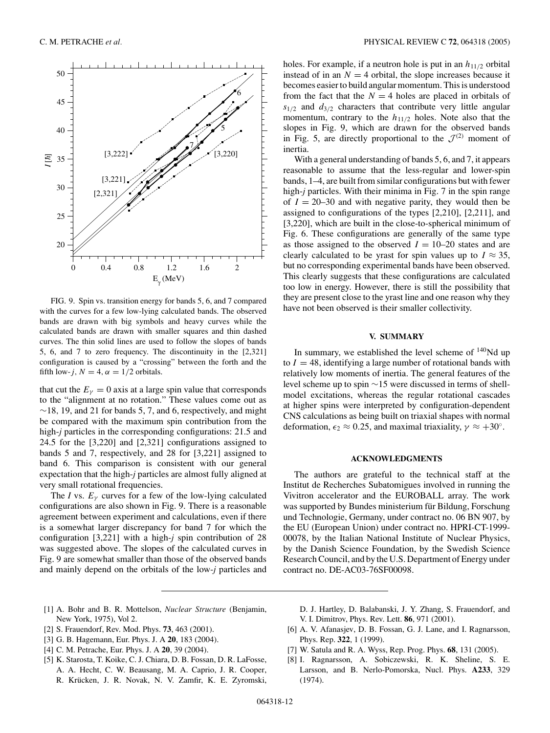

FIG. 9. Spin vs. transition energy for bands 5, 6, and 7 compared with the curves for a few low-lying calculated bands. The observed bands are drawn with big symbols and heavy curves while the calculated bands are drawn with smaller squares and thin dashed curves. The thin solid lines are used to follow the slopes of bands 5, 6, and 7 to zero frequency. The discontinuity in the [2,321] configuration is caused by a "crossing" between the forth and the fifth low-*j*,  $N = 4$ ,  $\alpha = 1/2$  orbitals.

that cut the  $E<sub>\gamma</sub> = 0$  axis at a large spin value that corresponds to the "alignment at no rotation." These values come out as ∼18*,* 19, and 21 for bands 5, 7, and 6, respectively, and might be compared with the maximum spin contribution from the high-*j* particles in the corresponding configurations: 21.5 and 24.5 for the [3,220] and [2,321] configurations assigned to bands 5 and 7, respectively, and 28 for [3,221] assigned to band 6. This comparison is consistent with our general expectation that the high-*j* particles are almost fully aligned at very small rotational frequencies.

The *I* vs.  $E_\nu$  curves for a few of the low-lying calculated configurations are also shown in Fig. 9. There is a reasonable agreement between experiment and calculations, even if there is a somewhat larger discrepancy for band 7 for which the configuration [3,221] with a high-*j* spin contribution of 28 was suggested above. The slopes of the calculated curves in Fig. 9 are somewhat smaller than those of the observed bands and mainly depend on the orbitals of the low-*j* particles and holes. For example, if a neutron hole is put in an  $h_{11/2}$  orbital instead of in an  $N = 4$  orbital, the slope increases because it becomes easier to build angular momentum. This is understood from the fact that the  $N = 4$  holes are placed in orbitals of  $s_{1/2}$  and  $d_{3/2}$  characters that contribute very little angular momentum, contrary to the *h*11*/*<sup>2</sup> holes. Note also that the slopes in Fig. 9, which are drawn for the observed bands in Fig. 5, are directly proportional to the  $\mathcal{J}^{(2)}$  moment of inertia.

With a general understanding of bands 5, 6, and 7, it appears reasonable to assume that the less-regular and lower-spin bands, 1–4, are built from similar configurations but with fewer high-*j* particles. With their minima in Fig. 7 in the spin range of  $I = 20-30$  and with negative parity, they would then be assigned to configurations of the types [2,210], [2,211], and [3,220], which are built in the close-to-spherical minimum of Fig. 6. These configurations are generally of the same type as those assigned to the observed  $I = 10-20$  states and are clearly calculated to be yrast for spin values up to  $I \approx 35$ , but no corresponding experimental bands have been observed. This clearly suggests that these configurations are calculated too low in energy. However, there is still the possibility that they are present close to the yrast line and one reason why they have not been observed is their smaller collectivity.

#### **V. SUMMARY**

In summary, we established the level scheme of  $140$ Nd up to  $I = 48$ , identifying a large number of rotational bands with relatively low moments of inertia. The general features of the level scheme up to spin ∼15 were discussed in terms of shellmodel excitations, whereas the regular rotational cascades at higher spins were interpreted by configuration-dependent CNS calculations as being built on triaxial shapes with normal deformation,  $\epsilon_2 \approx 0.25$ , and maximal triaxiality,  $\gamma \approx +30^\circ$ .

#### **ACKNOWLEDGMENTS**

The authors are grateful to the technical staff at the Institut de Recherches Subatomigues involved in running the Vivitron accelerator and the EUROBALL array. The work was supported by Bundes ministerium für Bildung, Forschung und Technologie, Germany, under contract no. 06 BN 907, by the EU (European Union) under contract no. HPRI-CT-1999- 00078, by the Italian National Institute of Nuclear Physics, by the Danish Science Foundation, by the Swedish Science Research Council, and by the U.S. Department of Energy under contract no. DE-AC03-76SF00098.

- [1] A. Bohr and B. R. Mottelson, *Nuclear Structure* (Benjamin, New York, 1975), Vol 2.
- [2] S. Frauendorf, Rev. Mod. Phys. **73**, 463 (2001).
- [3] G. B. Hagemann, Eur. Phys. J. A **20**, 183 (2004).
- [4] C. M. Petrache, Eur. Phys. J. A **20**, 39 (2004).
- [5] K. Starosta, T. Koike, C. J. Chiara, D. B. Fossan, D. R. LaFosse, A. A. Hecht, C. W. Beausang, M. A. Caprio, J. R. Cooper, R. Krücken, J. R. Novak, N. V. Zamfir, K. E. Zyromski,
- D. J. Hartley, D. Balabanski, J. Y. Zhang, S. Frauendorf, and V. I. Dimitrov, Phys. Rev. Lett. **86**, 971 (2001).
- [6] A. V. Afanasjev, D. B. Fossan, G. J. Lane, and I. Ragnarsson, Phys. Rep. **322**, 1 (1999).
- [7] W. Satula and R. A. Wyss, Rep. Prog. Phys. **68**, 131 (2005).
- [8] I. Ragnarsson, A. Sobiczewski, R. K. Sheline, S. E. Larsson, and B. Nerlo-Pomorska, Nucl. Phys. **A233**, 329 (1974).